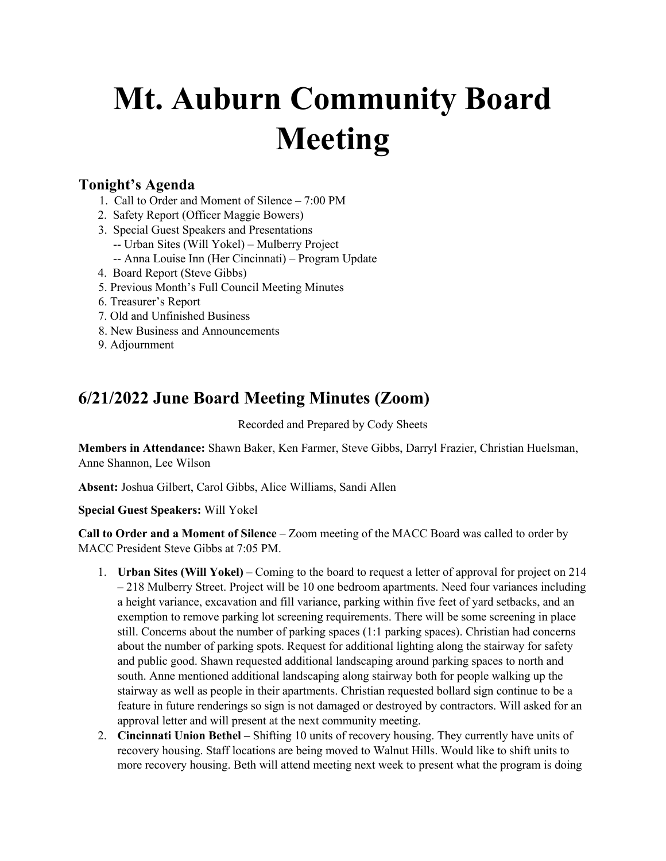## **Mt. Auburn Community Board Meeting**

## **Tonight's Agenda**

- 1. Call to Order and Moment of Silence **–** 7:00 PM
- 2. Safety Report (Officer Maggie Bowers)
- 3. Special Guest Speakers and Presentations -- Urban Sites (Will Yokel) – Mulberry Project
	- -- Anna Louise Inn (Her Cincinnati) Program Update
- 4. Board Report (Steve Gibbs)
- 5. Previous Month's Full Council Meeting Minutes
- 6. Treasurer's Report
- 7. Old and Unfinished Business
- 8. New Business and Announcements
- 9. Adjournment

## **6/21/2022 June Board Meeting Minutes (Zoom)**

Recorded and Prepared by Cody Sheets

**Members in Attendance:** Shawn Baker, Ken Farmer, Steve Gibbs, Darryl Frazier, Christian Huelsman, Anne Shannon, Lee Wilson

**Absent:** Joshua Gilbert, Carol Gibbs, Alice Williams, Sandi Allen

**Special Guest Speakers:** Will Yokel

**Call to Order and a Moment of Silence** – Zoom meeting of the MACC Board was called to order by MACC President Steve Gibbs at 7:05 PM.

- 1. **Urban Sites (Will Yokel)** Coming to the board to request a letter of approval for project on 214 – 218 Mulberry Street. Project will be 10 one bedroom apartments. Need four variances including a height variance, excavation and fill variance, parking within five feet of yard setbacks, and an exemption to remove parking lot screening requirements. There will be some screening in place still. Concerns about the number of parking spaces (1:1 parking spaces). Christian had concerns about the number of parking spots. Request for additional lighting along the stairway for safety and public good. Shawn requested additional landscaping around parking spaces to north and south. Anne mentioned additional landscaping along stairway both for people walking up the stairway as well as people in their apartments. Christian requested bollard sign continue to be a feature in future renderings so sign is not damaged or destroyed by contractors. Will asked for an approval letter and will present at the next community meeting.
- 2. **Cincinnati Union Bethel –** Shifting 10 units of recovery housing. They currently have units of recovery housing. Staff locations are being moved to Walnut Hills. Would like to shift units to more recovery housing. Beth will attend meeting next week to present what the program is doing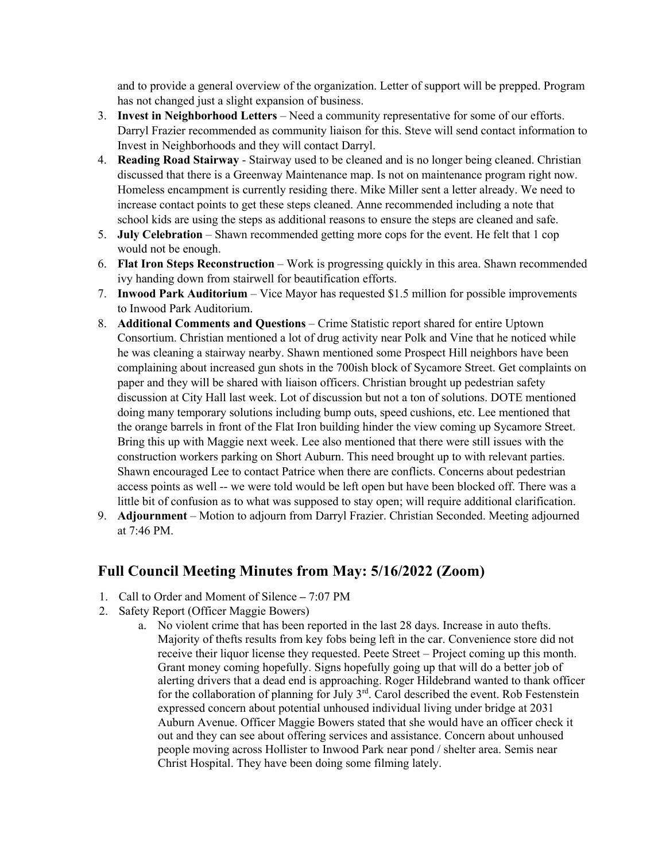and to provide a general overview of the organization. Letter of support will be prepped. Program has not changed just a slight expansion of business.

- 3. **Invest in Neighborhood Letters**  Need a community representative for some of our efforts. Darryl Frazier recommended as community liaison for this. Steve will send contact information to Invest in Neighborhoods and they will contact Darryl.
- 4. **Reading Road Stairway**  Stairway used to be cleaned and is no longer being cleaned. Christian discussed that there is a Greenway Maintenance map. Is not on maintenance program right now. Homeless encampment is currently residing there. Mike Miller sent a letter already. We need to increase contact points to get these steps cleaned. Anne recommended including a note that school kids are using the steps as additional reasons to ensure the steps are cleaned and safe.
- 5. **July Celebration**  Shawn recommended getting more cops for the event. He felt that 1 cop would not be enough.
- 6. **Flat Iron Steps Reconstruction**  Work is progressing quickly in this area. Shawn recommended ivy handing down from stairwell for beautification efforts.
- 7. **Inwood Park Auditorium**  Vice Mayor has requested \$1.5 million for possible improvements to Inwood Park Auditorium.
- 8. **Additional Comments and Questions** Crime Statistic report shared for entire Uptown Consortium. Christian mentioned a lot of drug activity near Polk and Vine that he noticed while he was cleaning a stairway nearby. Shawn mentioned some Prospect Hill neighbors have been complaining about increased gun shots in the 700ish block of Sycamore Street. Get complaints on paper and they will be shared with liaison officers. Christian brought up pedestrian safety discussion at City Hall last week. Lot of discussion but not a ton of solutions. DOTE mentioned doing many temporary solutions including bump outs, speed cushions, etc. Lee mentioned that the orange barrels in front of the Flat Iron building hinder the view coming up Sycamore Street. Bring this up with Maggie next week. Lee also mentioned that there were still issues with the construction workers parking on Short Auburn. This need brought up to with relevant parties. Shawn encouraged Lee to contact Patrice when there are conflicts. Concerns about pedestrian access points as well -- we were told would be left open but have been blocked off. There was a little bit of confusion as to what was supposed to stay open; will require additional clarification.
- 9. **Adjournment** Motion to adjourn from Darryl Frazier. Christian Seconded. Meeting adjourned at 7:46 PM.

## **Full Council Meeting Minutes from May: 5/16/2022 (Zoom)**

- 1. Call to Order and Moment of Silence **–** 7:07 PM
- 2. Safety Report (Officer Maggie Bowers)
	- a. No violent crime that has been reported in the last 28 days. Increase in auto thefts. Majority of thefts results from key fobs being left in the car. Convenience store did not receive their liquor license they requested. Peete Street – Project coming up this month. Grant money coming hopefully. Signs hopefully going up that will do a better job of alerting drivers that a dead end is approaching. Roger Hildebrand wanted to thank officer for the collaboration of planning for July  $3<sup>rd</sup>$ . Carol described the event. Rob Festenstein expressed concern about potential unhoused individual living under bridge at 2031 Auburn Avenue. Officer Maggie Bowers stated that she would have an officer check it out and they can see about offering services and assistance. Concern about unhoused people moving across Hollister to Inwood Park near pond / shelter area. Semis near Christ Hospital. They have been doing some filming lately.